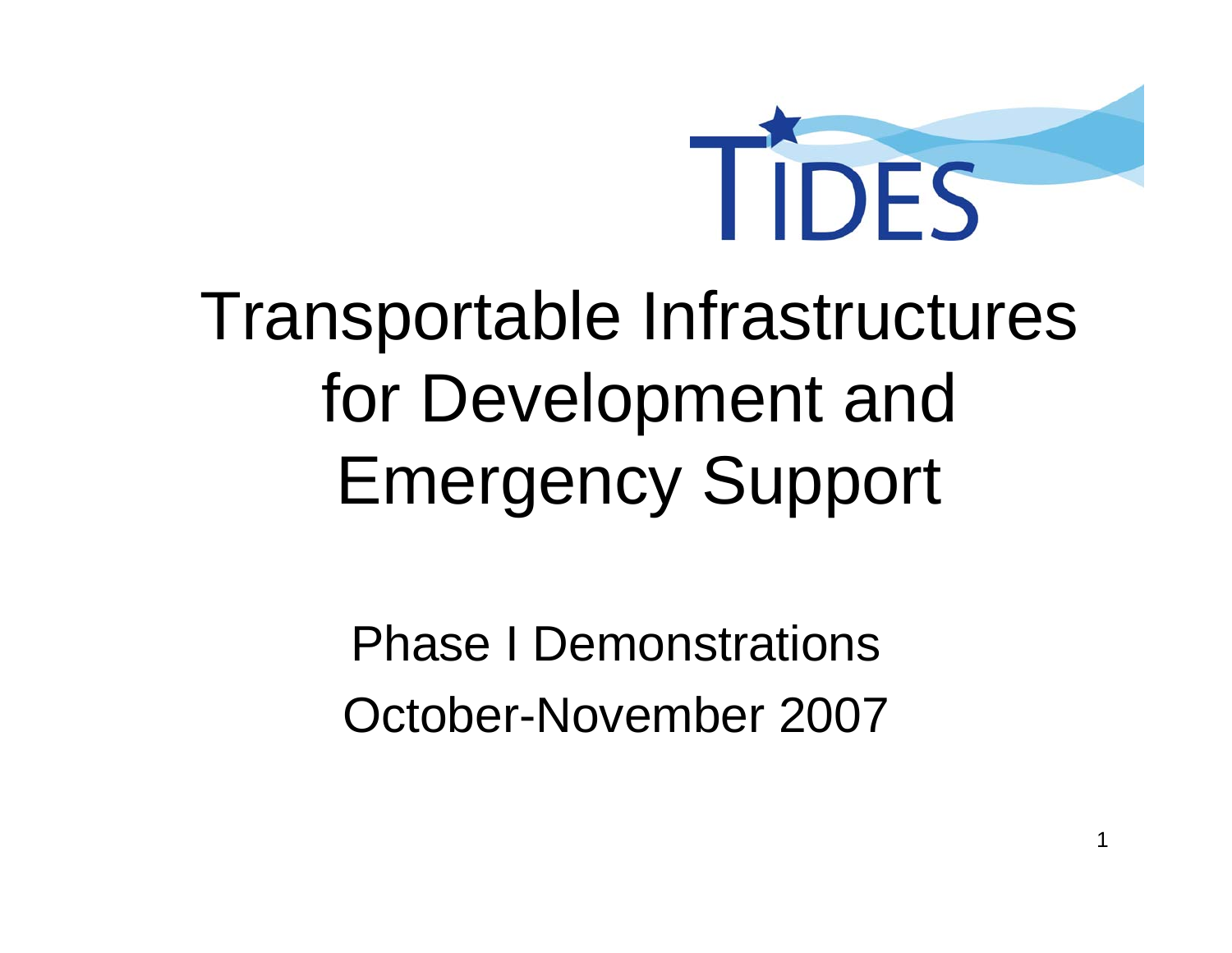

### Transportable Infrastructures for Development and Emergency Support

Phase I DemonstrationsOctober-November 2007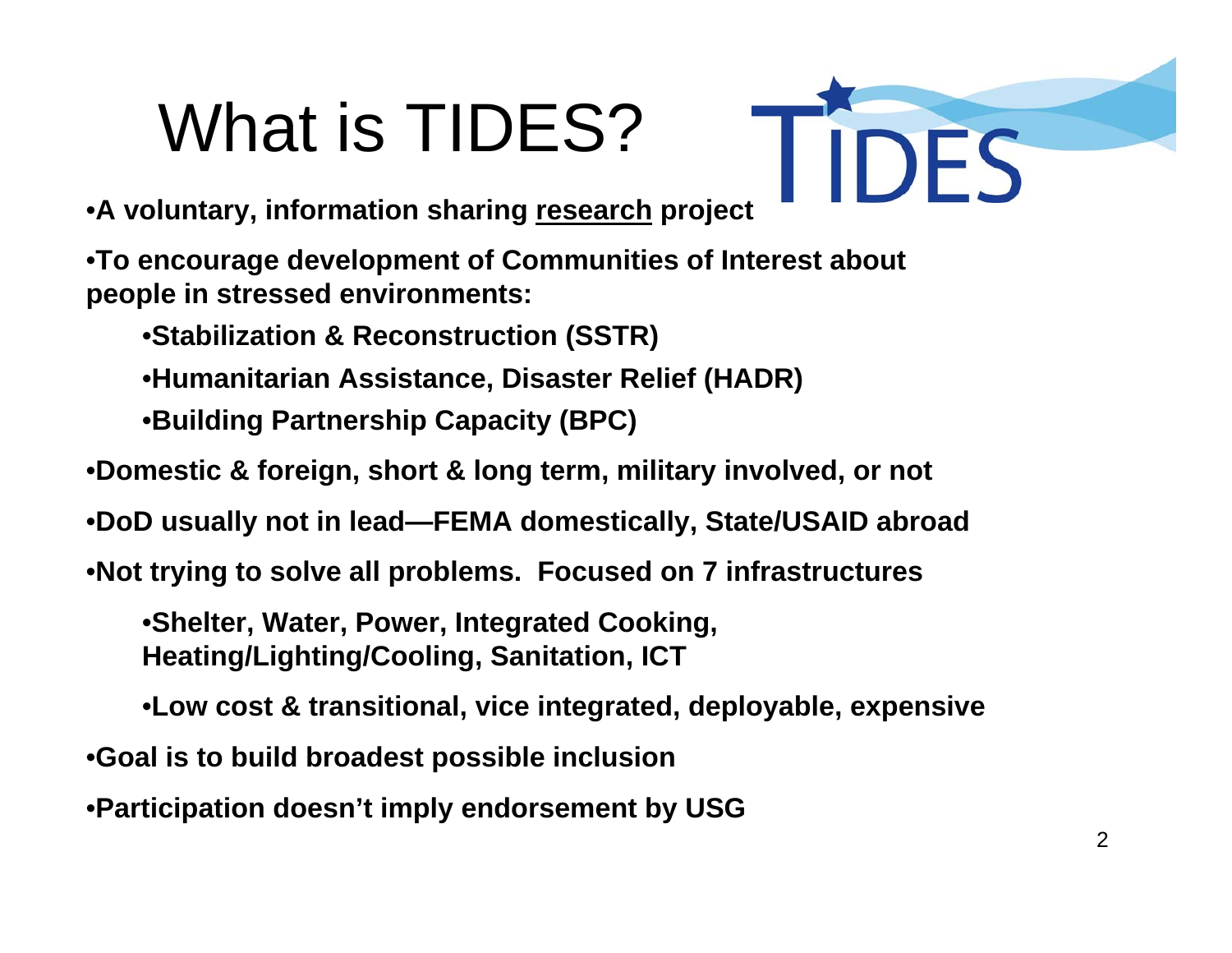### What is TIDES?

•**A voluntary, information sharing research project**

•**To encourage development of Communities of Interest about people in stressed environments:**

•**Stabilization & Reconstruction (SSTR)**

•**Humanitarian Assistance, Disaster Relief (HADR)**

•**Building Partnership Capacity (BPC)**

•**Domestic & foreign, short & long term, military involved, or not**

•**DoD usually not in lead—FEMA domestically, State/USAID abroad**

•**Not trying to solve all problems. Focused on 7 infrastructures**

•**Shelter, Water, Power, Integrated Cooking, Heating/Lighting/Cooling, Sanitation, ICT**

•**Low cost & transitional, vice integrated, deployable, expensive**

•**Goal is to build broadest possible inclusion**

•**Participation doesn't imply endorsement by USG**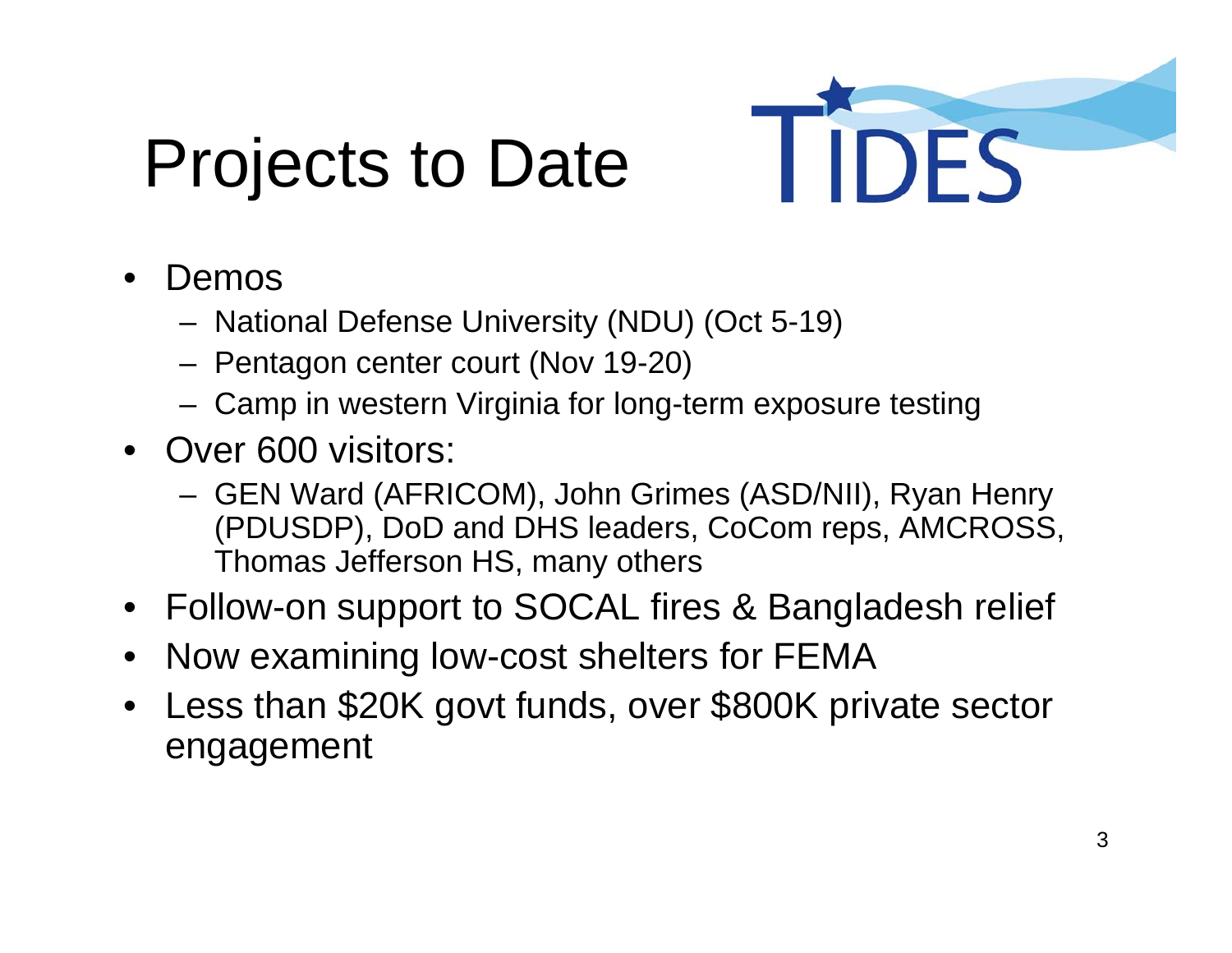## Projects to Date



- • Demos
	- National Defense University (NDU) (Oct 5-19)
	- Pentagon center court (Nov 19-20)
	- Camp in western Virginia for long-term exposure testing
- Over 600 visitors:
	- GEN Ward (AFRICOM), John Grimes (ASD/NII), Ryan Henry (PDUSDP), DoD and DHS leaders, CoCom reps, AMCROSS, Thomas Jefferson HS, many others
- Follow-on support to SOCAL fires & Bangladesh relief
- •Now examining low-cost shelters for FEMA
- • Less than \$20K govt funds, over \$800K private sector engagement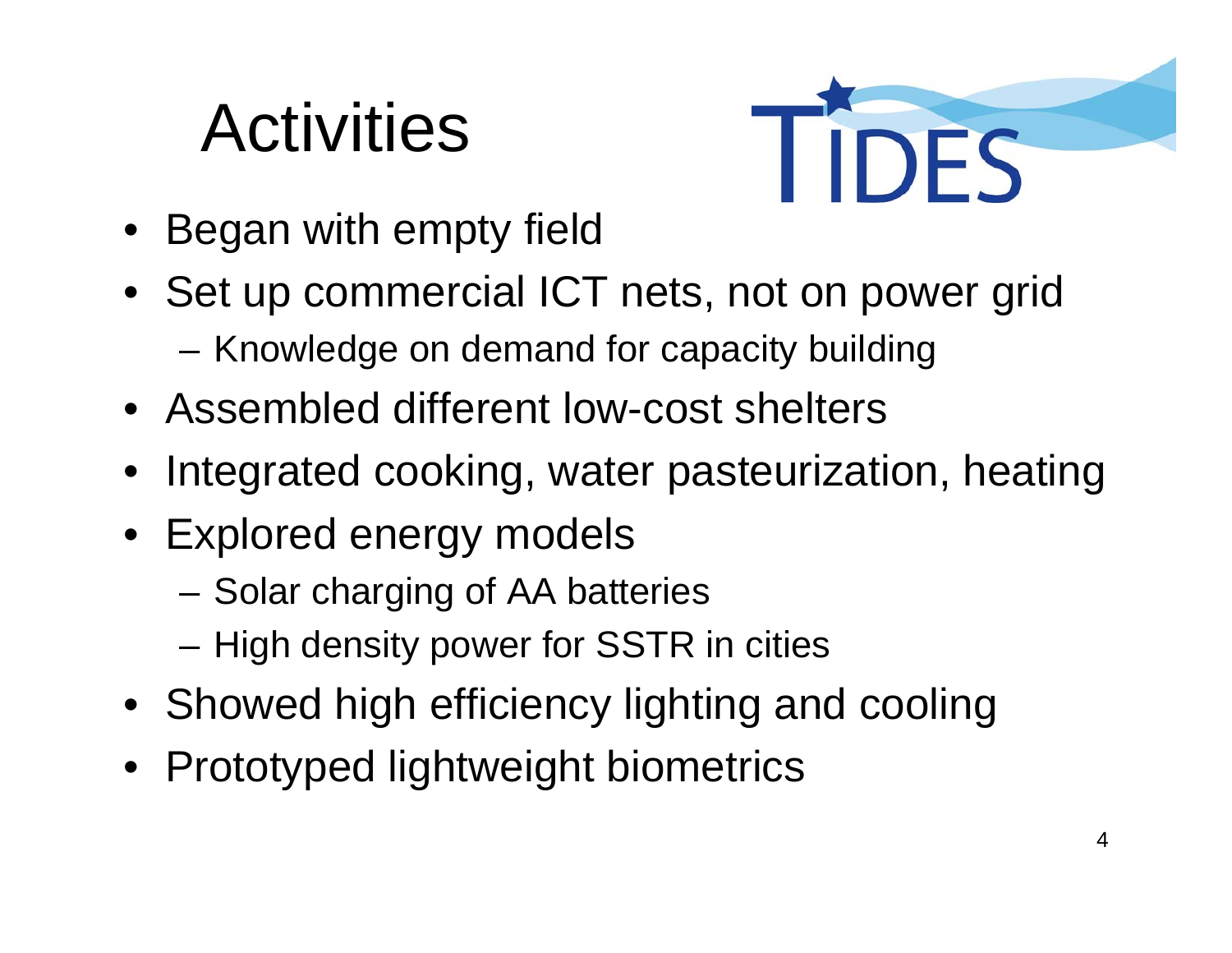### **Activities**



- Began with empty field
- Set up commercial ICT nets, not on power grid –Knowledge on demand for capacity building
- Assembled different low-cost shelters
- Integrated cooking, water pasteurization, heating
- Explored energy models
	- –Solar charging of AA batteries
	- –High density power for SSTR in cities
- Showed high efficiency lighting and cooling
- Prototyped lightweight biometrics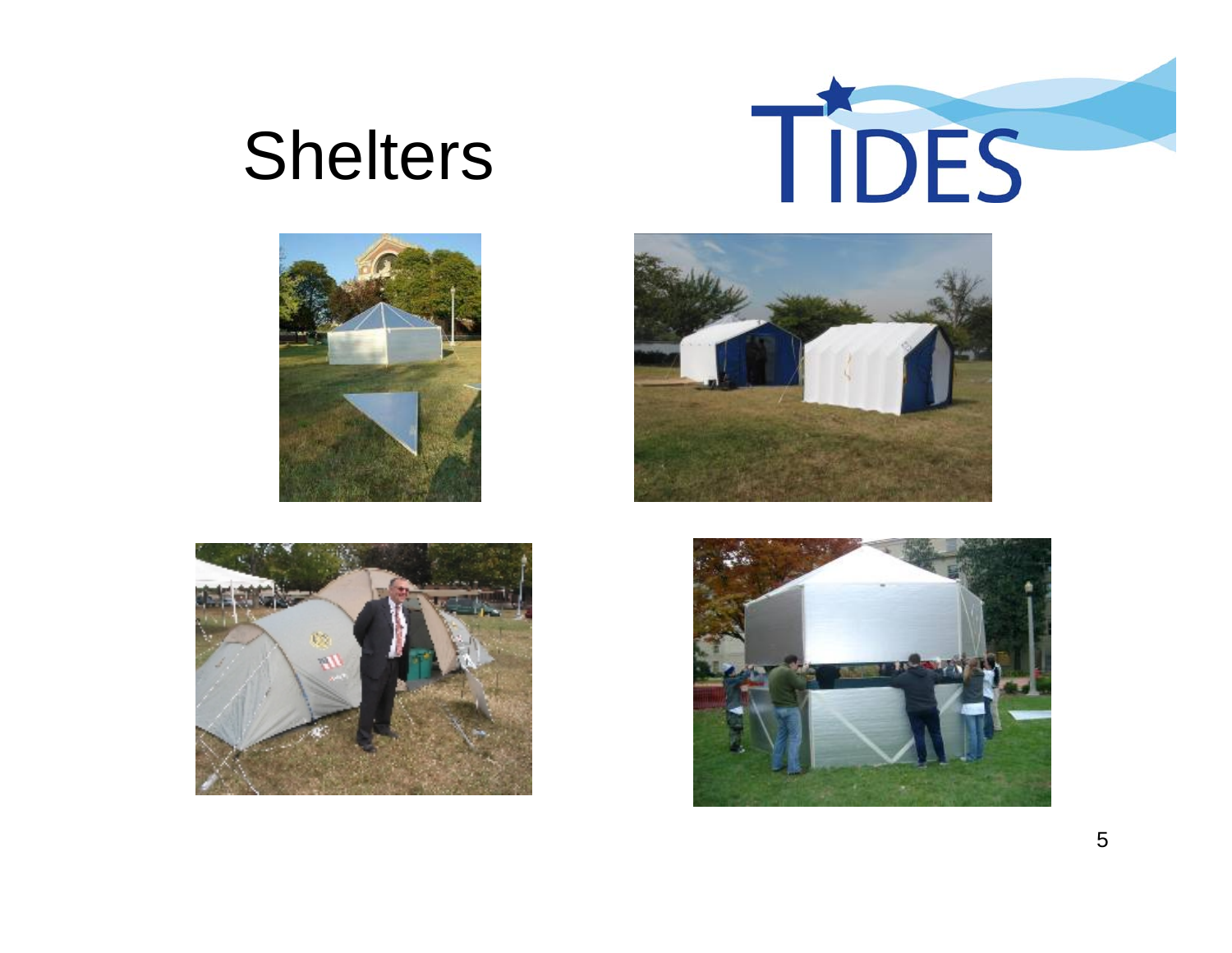### **Shelters**









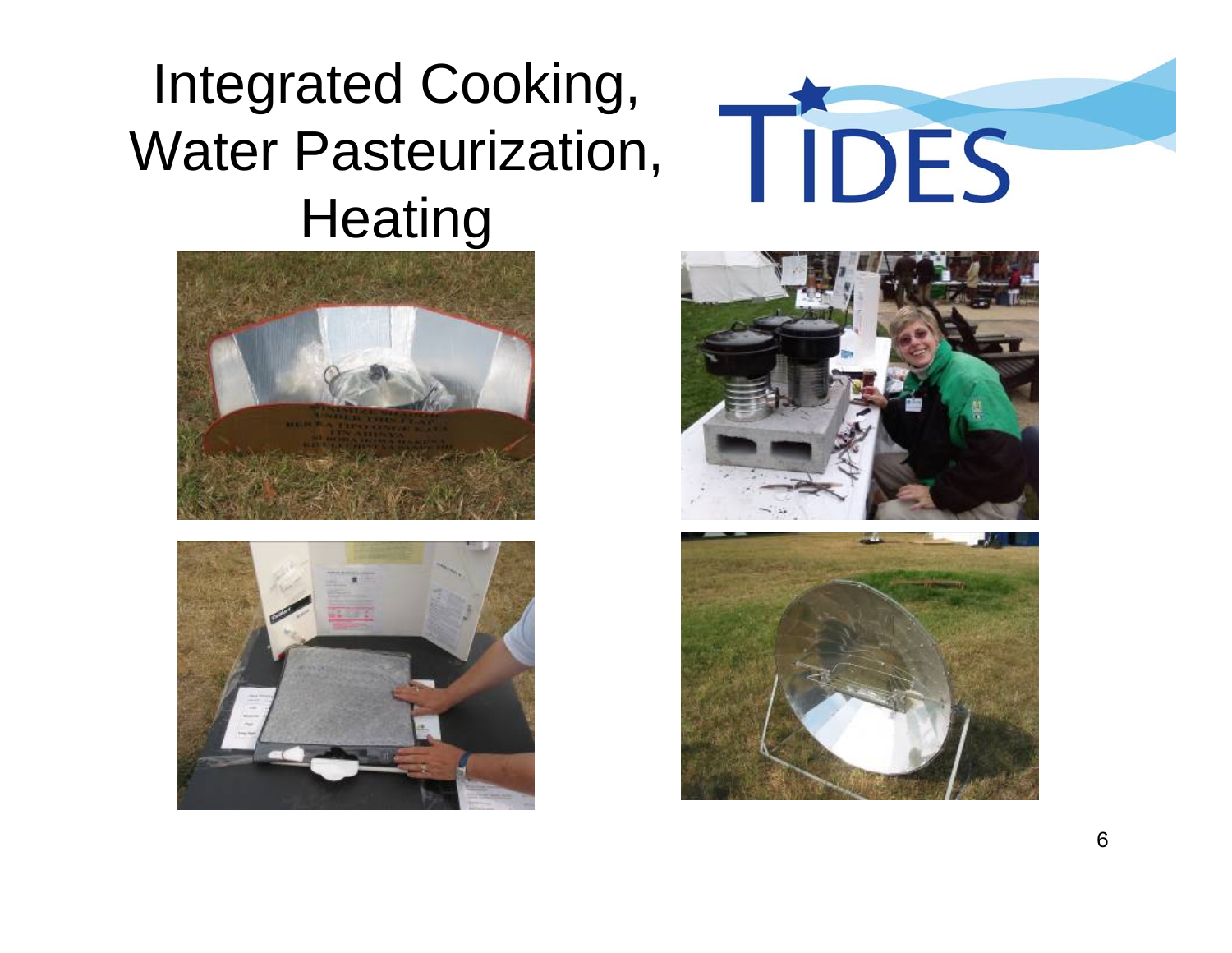#### Integrated Cooking, Water Pasteurization, **Heating**









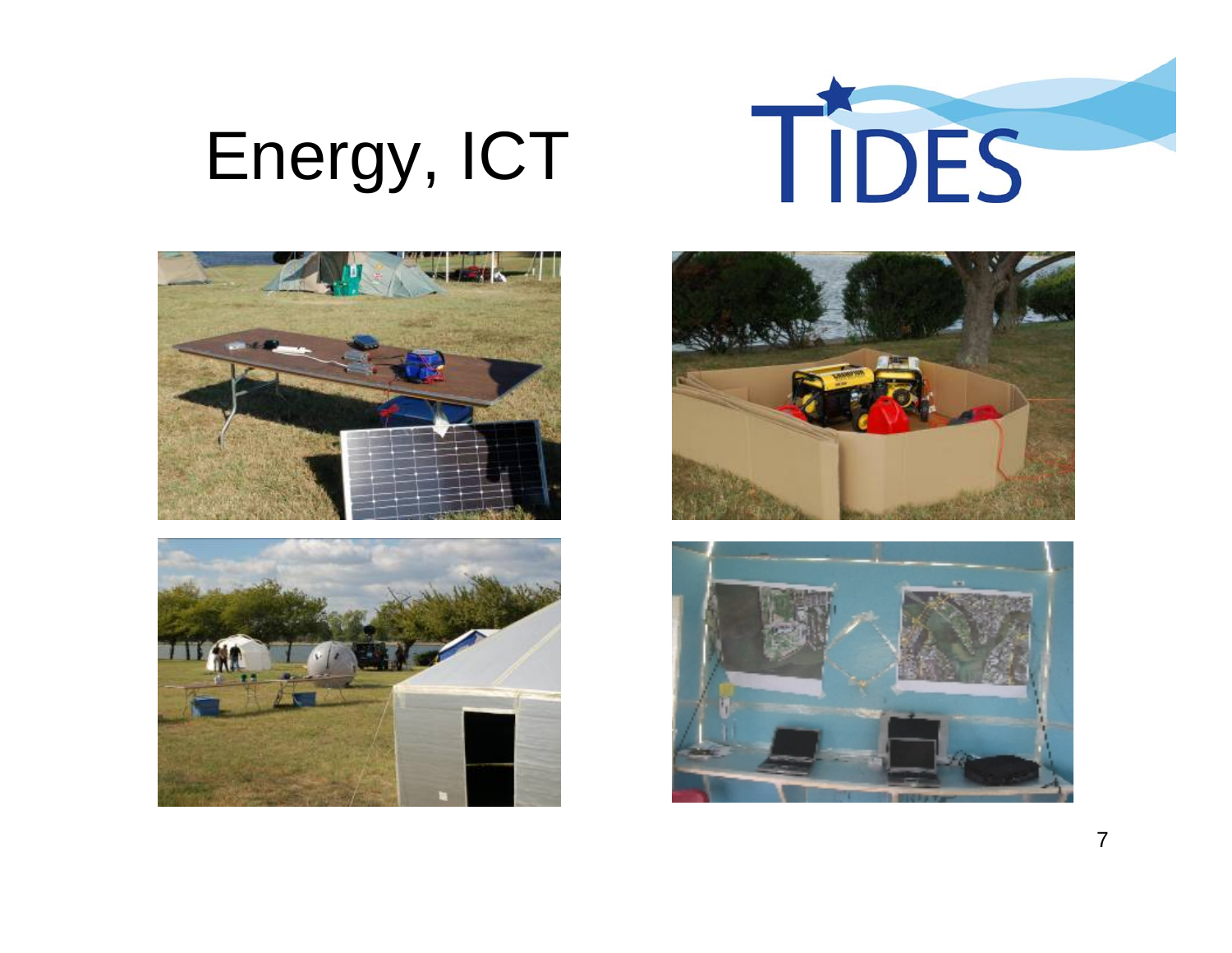# Energy, ICT









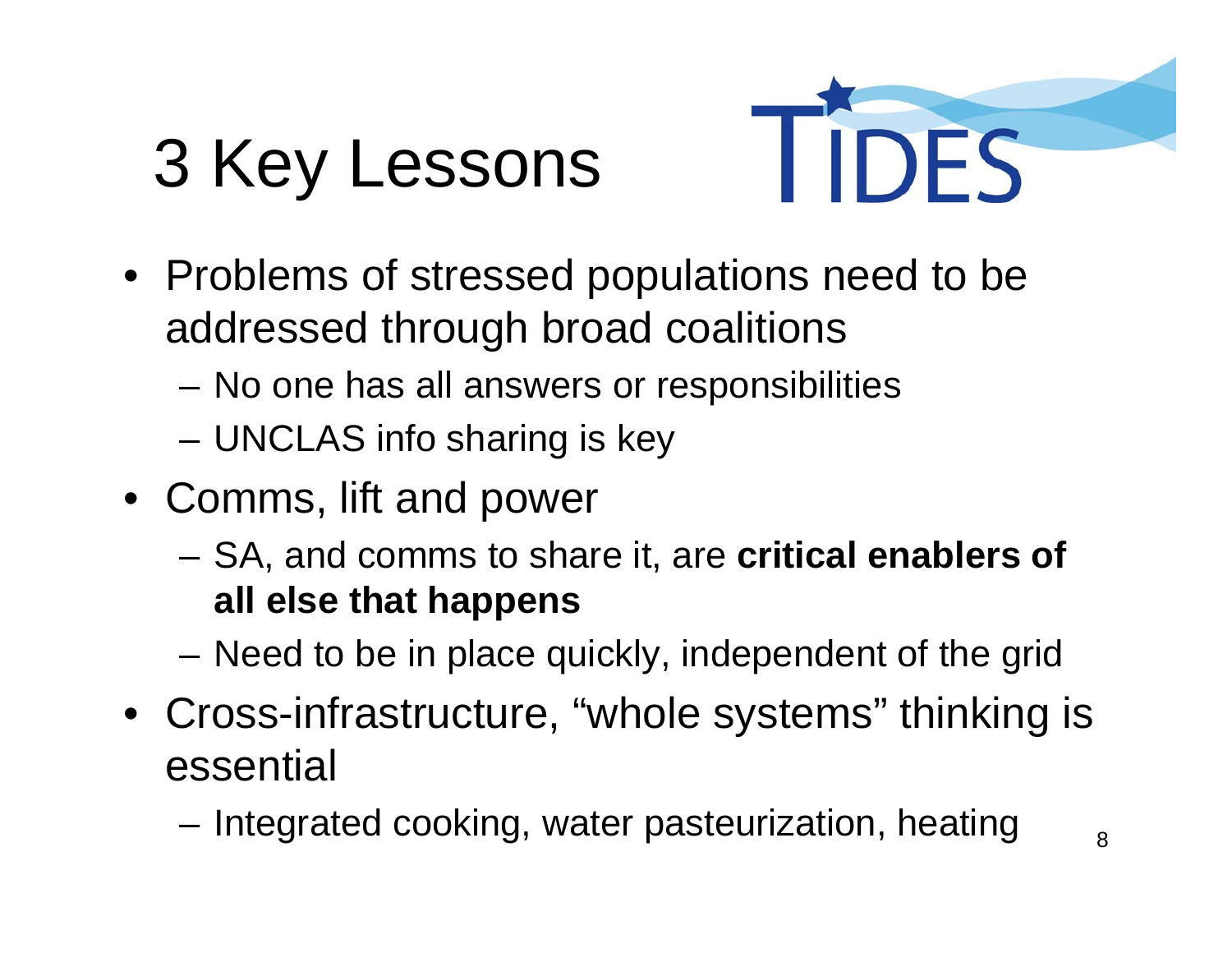## 3 Key Lessons



- Problems of stressed populations need to be addressed through broad coalitions
	- –No one has all answers or responsibilities
	- –UNCLAS info sharing is key
- Comms, lift and power
	- and the state of the SA, and comms to share it, are **critical enablers of all else that happens**
	- **Links of the Common** Need to be in place quickly, independent of the grid
- Cross-infrastructure, "whole systems" thinking is essential
	- and the state of the Integrated cooking, water pasteurization, heating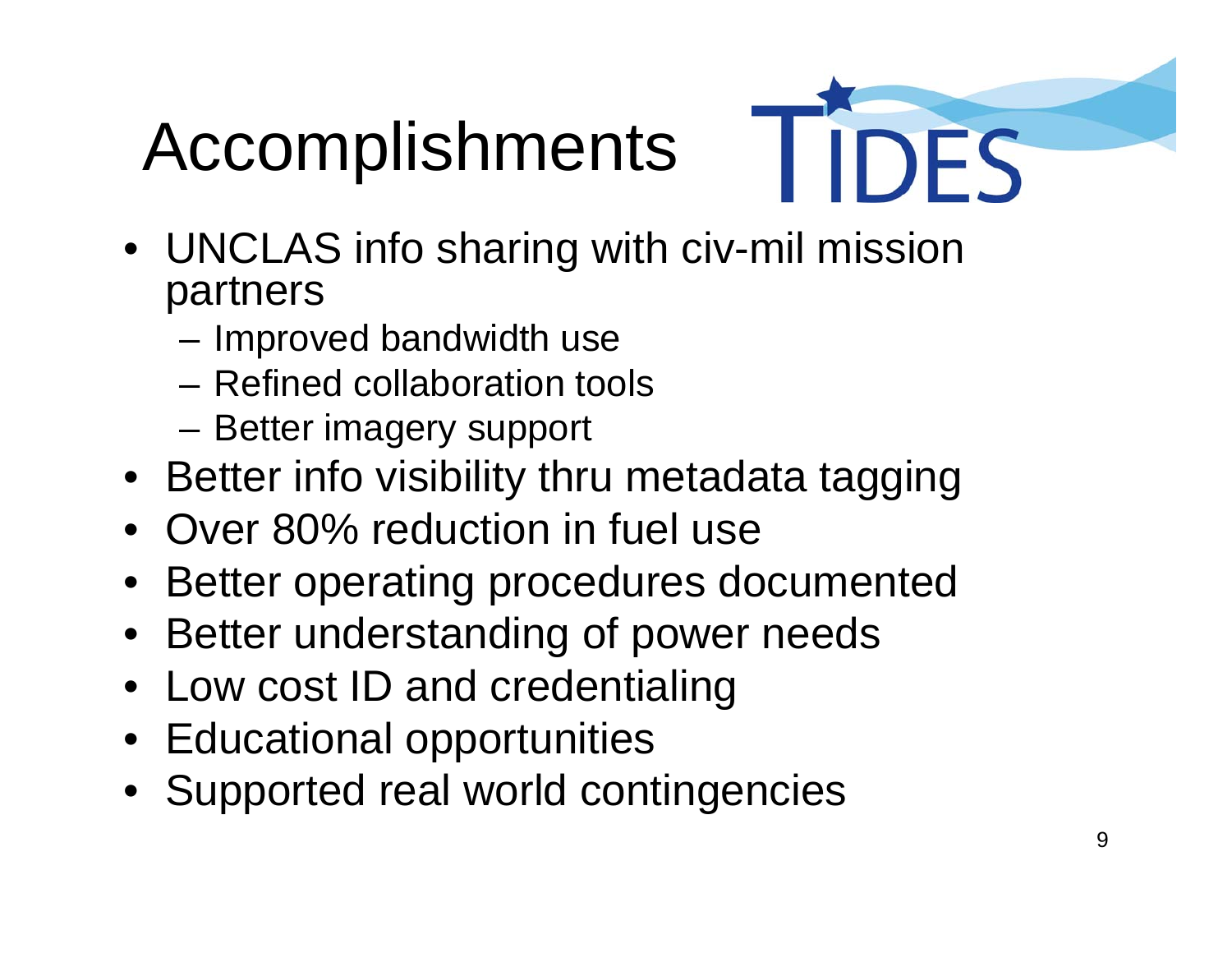# Accomplishments

- 
- UNCLAS info sharing with civ-mil mission partners
	- and the state of the Improved bandwidth use
	- Refined collaboration tools
	- –Better imagery support
- Better info visibility thru metadata tagging
- Over 80% reduction in fuel use
- •Better operating procedures documented
- Better understanding of power needs
- Low cost ID and credentialing
- Educational opportunities
- Supported real world contingencies